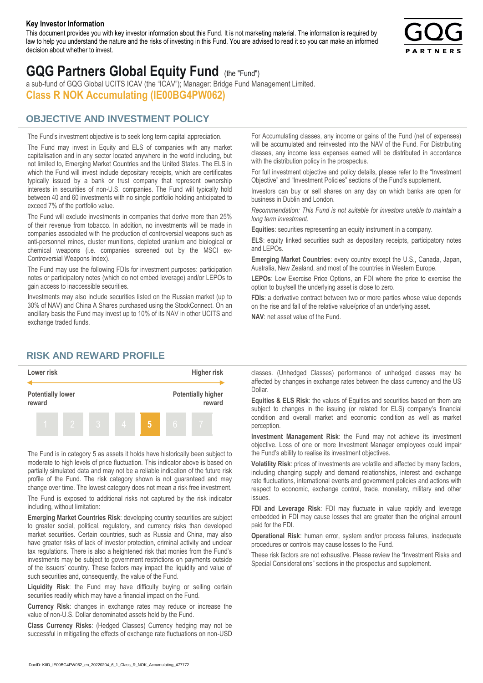#### **Key Investor Information**

This document provides you with key investor information about this Fund. It is not marketing material. The information is required by law to help you understand the nature and the risks of investing in this Fund. You are advised to read it so you can make an informed decision about whether to invest.



# **GQG Partners Global Equity Fund** (the "Fund")

a sub-fund of GQG Global UCITS ICAV (the "ICAV"); Manager: Bridge Fund Management Limited. **Class R NOK Accumulating (IE00BG4PW062)**

## **OBJECTIVE AND INVESTMENT POLICY**

The Fund's investment objective is to seek long term capital appreciation. The Fund may invest in Equity and ELS of companies with any market capitalisation and in any sector located anywhere in the world including, but not limited to, Emerging Market Countries and the United States. The ELS in which the Fund will invest include depositary receipts, which are certificates typically issued by a bank or trust company that represent ownership interests in securities of non-U.S. companies. The Fund will typically hold between 40 and 60 investments with no single portfolio holding anticipated to exceed 7% of the portfolio value.

The Fund will exclude investments in companies that derive more than 25% of their revenue from tobacco. In addition, no investments will be made in companies associated with the production of controversial weapons such as anti-personnel mines, cluster munitions, depleted uranium and biological or chemical weapons (i.e. companies screened out by the MSCI ex-Controversial Weapons Index).

The Fund may use the following FDIs for investment purposes: participation notes or participatory notes (which do not embed leverage) and/or LEPOs to gain access to inaccessible securities.

Investments may also include securities listed on the Russian market (up to 30% of NAV) and China A Shares purchased using the StockConnect. On an ancillary basis the Fund may invest up to 10% of its NAV in other UCITS and exchange traded funds.

For Accumulating classes, any income or gains of the Fund (net of expenses) will be accumulated and reinvested into the NAV of the Fund. For Distributing classes, any income less expenses earned will be distributed in accordance with the distribution policy in the prospectus.

For full investment objective and policy details, please refer to the "Investment Objective" and "Investment Policies" sections of the Fund's supplement.

Investors can buy or sell shares on any day on which banks are open for business in Dublin and London.

*Recommendation: This Fund is not suitable for investors unable to maintain a long term investment.*

**Equities**: securities representing an equity instrument in a company.

**ELS**: equity linked securities such as depositary receipts, participatory notes and LEPOs.

**Emerging Market Countries**: every country except the U.S., Canada, Japan, Australia, New Zealand, and most of the countries in Western Europe.

**LEPOs**: Low Exercise Price Options, an FDI where the price to exercise the option to buy/sell the underlying asset is close to zero.

**FDIs**: a derivative contract between two or more parties whose value depends on the rise and fall of the relative value/price of an underlying asset.

**NAV**: net asset value of the Fund.

### **RISK AND REWARD PROFILE**



The Fund is in category 5 as assets it holds have historically been subject to moderate to high levels of price fluctuation. This indicator above is based on partially simulated data and may not be a reliable indication of the future risk profile of the Fund. The risk category shown is not guaranteed and may change over time. The lowest category does not mean a risk free investment.

The Fund is exposed to additional risks not captured by the risk indicator including, without limitation:

**Emerging Market Countries Risk**: developing country securities are subject to greater social, political, regulatory, and currency risks than developed market securities. Certain countries, such as Russia and China, may also have greater risks of lack of investor protection, criminal activity and unclear tax regulations. There is also a heightened risk that monies from the Fund's investments may be subject to government restrictions on payments outside of the issuers' country. These factors may impact the liquidity and value of such securities and, consequently, the value of the Fund.

**Liquidity Risk**: the Fund may have difficulty buying or selling certain securities readily which may have a financial impact on the Fund.

**Currency Risk**: changes in exchange rates may reduce or increase the value of non-U.S. Dollar denominated assets held by the Fund.

**Class Currency Risks**: (Hedged Classes) Currency hedging may not be successful in mitigating the effects of exchange rate fluctuations on non-USD classes. (Unhedged Classes) performance of unhedged classes may be affected by changes in exchange rates between the class currency and the US Dollar.

**Equities & ELS Risk**: the values of Equities and securities based on them are subject to changes in the issuing (or related for ELS) company's financial condition and overall market and economic condition as well as market perception.

**Investment Management Risk**: the Fund may not achieve its investment objective. Loss of one or more Investment Manager employees could impair the Fund's ability to realise its investment objectives.

**Volatility Risk**: prices of investments are volatile and affected by many factors, including changing supply and demand relationships, interest and exchange rate fluctuations, international events and government policies and actions with respect to economic, exchange control, trade, monetary, military and other issues.

**FDI and Leverage Risk**: FDI may fluctuate in value rapidly and leverage embedded in FDI may cause losses that are greater than the original amount paid for the FDI.

**Operational Risk**: human error, system and/or process failures, inadequate procedures or controls may cause losses to the Fund.

These risk factors are not exhaustive. Please review the "Investment Risks and Special Considerations" sections in the prospectus and supplement.